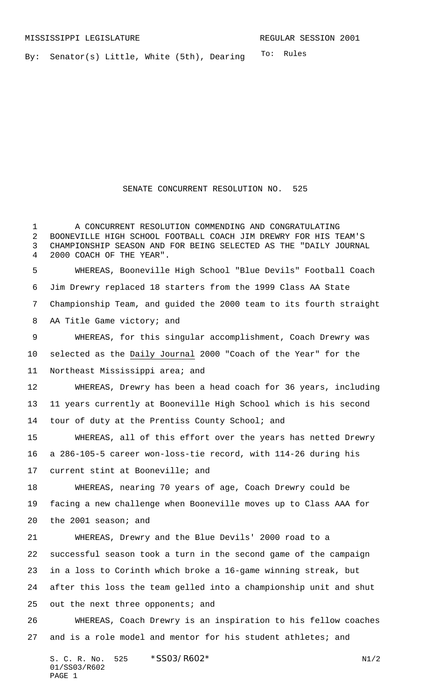To: Rules By: Senator(s) Little, White (5th), Dearing

## SENATE CONCURRENT RESOLUTION NO. 525

 A CONCURRENT RESOLUTION COMMENDING AND CONGRATULATING BOONEVILLE HIGH SCHOOL FOOTBALL COACH JIM DREWRY FOR HIS TEAM'S CHAMPIONSHIP SEASON AND FOR BEING SELECTED AS THE "DAILY JOURNAL 2000 COACH OF THE YEAR". WHEREAS, Booneville High School "Blue Devils" Football Coach Jim Drewry replaced 18 starters from the 1999 Class AA State Championship Team, and guided the 2000 team to its fourth straight AA Title Game victory; and WHEREAS, for this singular accomplishment, Coach Drewry was selected as the Daily Journal 2000 "Coach of the Year" for the Northeast Mississippi area; and WHEREAS, Drewry has been a head coach for 36 years, including 11 years currently at Booneville High School which is his second tour of duty at the Prentiss County School; and WHEREAS, all of this effort over the years has netted Drewry a 286-105-5 career won-loss-tie record, with 114-26 during his current stint at Booneville; and WHEREAS, nearing 70 years of age, Coach Drewry could be facing a new challenge when Booneville moves up to Class AAA for the 2001 season; and WHEREAS, Drewry and the Blue Devils' 2000 road to a successful season took a turn in the second game of the campaign in a loss to Corinth which broke a 16-game winning streak, but after this loss the team gelled into a championship unit and shut 25 out the next three opponents; and WHEREAS, Coach Drewry is an inspiration to his fellow coaches 27 and is a role model and mentor for his student athletes; and

S. C. R. No. \*SS03/R602\* N1/2 01/SS03/R602 PAGE 1